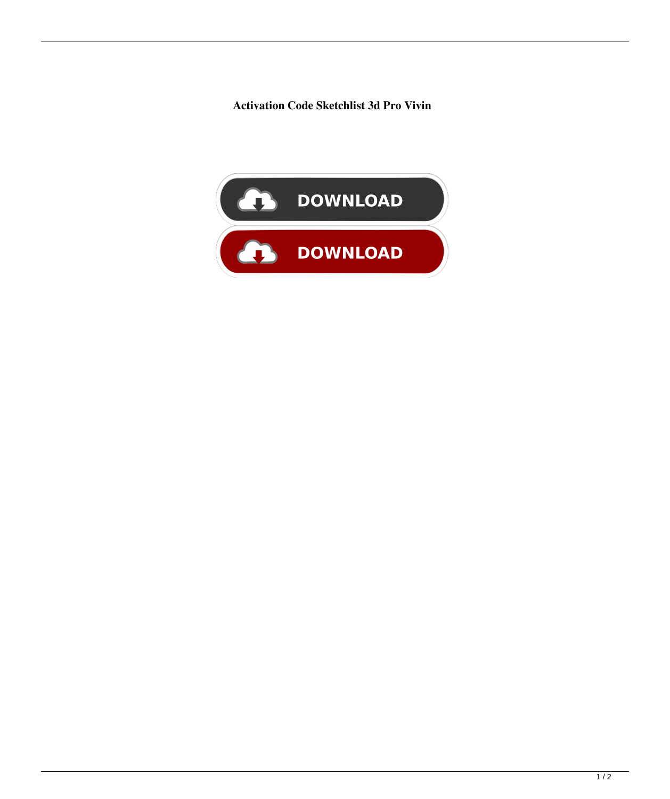**Activation Code Sketchlist 3d Pro Vivin**